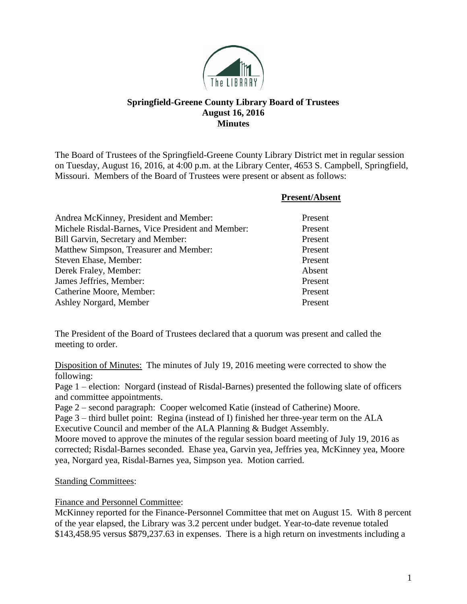

# **Springfield-Greene County Library Board of Trustees August 16, 2016 Minutes**

The Board of Trustees of the Springfield-Greene County Library District met in regular session on Tuesday, August 16, 2016, at 4:00 p.m. at the Library Center, 4653 S. Campbell, Springfield, Missouri. Members of the Board of Trustees were present or absent as follows:

|                                                   | <b>Present/Absent</b> |
|---------------------------------------------------|-----------------------|
| Andrea McKinney, President and Member:            | Present               |
| Michele Risdal-Barnes, Vice President and Member: | Present               |
| Bill Garvin, Secretary and Member:                | Present               |
| Matthew Simpson, Treasurer and Member:            | Present               |
| Steven Ehase, Member:                             | Present               |
| Derek Fraley, Member:                             | Absent                |
| James Jeffries, Member:                           | Present               |
| Catherine Moore, Member:                          | Present               |
| Ashley Norgard, Member                            | Present               |

The President of the Board of Trustees declared that a quorum was present and called the meeting to order.

Disposition of Minutes: The minutes of July 19, 2016 meeting were corrected to show the following:

Page 1 – election: Norgard (instead of Risdal-Barnes) presented the following slate of officers and committee appointments.

Page 2 – second paragraph: Cooper welcomed Katie (instead of Catherine) Moore.

Page 3 – third bullet point: Regina (instead of I) finished her three-year term on the ALA Executive Council and member of the ALA Planning & Budget Assembly.

Moore moved to approve the minutes of the regular session board meeting of July 19, 2016 as corrected; Risdal-Barnes seconded. Ehase yea, Garvin yea, Jeffries yea, McKinney yea, Moore yea, Norgard yea, Risdal-Barnes yea, Simpson yea. Motion carried.

## **Standing Committees:**

### Finance and Personnel Committee:

McKinney reported for the Finance-Personnel Committee that met on August 15. With 8 percent of the year elapsed, the Library was 3.2 percent under budget. Year-to-date revenue totaled \$143,458.95 versus \$879,237.63 in expenses. There is a high return on investments including a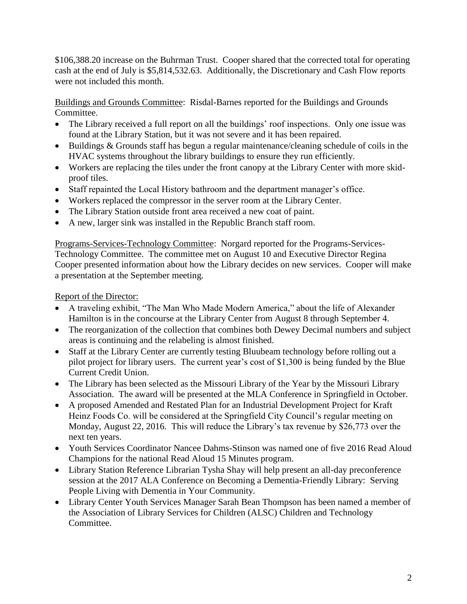\$106,388.20 increase on the Buhrman Trust. Cooper shared that the corrected total for operating cash at the end of July is \$5,814,532.63. Additionally, the Discretionary and Cash Flow reports were not included this month.

Buildings and Grounds Committee: Risdal-Barnes reported for the Buildings and Grounds Committee.

- The Library received a full report on all the buildings' roof inspections. Only one issue was found at the Library Station, but it was not severe and it has been repaired.
- Buildings & Grounds staff has begun a regular maintenance/cleaning schedule of coils in the HVAC systems throughout the library buildings to ensure they run efficiently.
- Workers are replacing the tiles under the front canopy at the Library Center with more skidproof tiles.
- Staff repainted the Local History bathroom and the department manager's office.
- Workers replaced the compressor in the server room at the Library Center.
- The Library Station outside front area received a new coat of paint.
- A new, larger sink was installed in the Republic Branch staff room.

Programs-Services-Technology Committee: Norgard reported for the Programs-Services-Technology Committee. The committee met on August 10 and Executive Director Regina Cooper presented information about how the Library decides on new services. Cooper will make a presentation at the September meeting.

Report of the Director:

- A traveling exhibit, "The Man Who Made Modern America," about the life of Alexander Hamilton is in the concourse at the Library Center from August 8 through September 4.
- The reorganization of the collection that combines both Dewey Decimal numbers and subject areas is continuing and the relabeling is almost finished.
- Staff at the Library Center are currently testing Bluubeam technology before rolling out a pilot project for library users. The current year's cost of \$1,300 is being funded by the Blue Current Credit Union.
- The Library has been selected as the Missouri Library of the Year by the Missouri Library Association. The award will be presented at the MLA Conference in Springfield in October.
- A proposed Amended and Restated Plan for an Industrial Development Project for Kraft Heinz Foods Co. will be considered at the Springfield City Council's regular meeting on Monday, August 22, 2016. This will reduce the Library's tax revenue by \$26,773 over the next ten years.
- Youth Services Coordinator Nancee Dahms-Stinson was named one of five 2016 Read Aloud Champions for the national Read Aloud 15 Minutes program.
- Library Station Reference Librarian Tysha Shay will help present an all-day preconference session at the 2017 ALA Conference on Becoming a Dementia-Friendly Library: Serving People Living with Dementia in Your Community.
- Library Center Youth Services Manager Sarah Bean Thompson has been named a member of the Association of Library Services for Children (ALSC) Children and Technology Committee.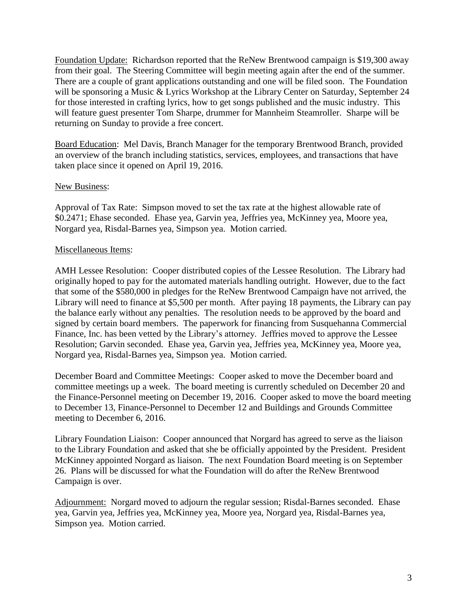Foundation Update: Richardson reported that the ReNew Brentwood campaign is \$19,300 away from their goal. The Steering Committee will begin meeting again after the end of the summer. There are a couple of grant applications outstanding and one will be filed soon. The Foundation will be sponsoring a Music & Lyrics Workshop at the Library Center on Saturday, September 24 for those interested in crafting lyrics, how to get songs published and the music industry. This will feature guest presenter Tom Sharpe, drummer for Mannheim Steamroller. Sharpe will be returning on Sunday to provide a free concert.

Board Education: Mel Davis, Branch Manager for the temporary Brentwood Branch, provided an overview of the branch including statistics, services, employees, and transactions that have taken place since it opened on April 19, 2016.

### New Business:

Approval of Tax Rate: Simpson moved to set the tax rate at the highest allowable rate of \$0.2471; Ehase seconded. Ehase yea, Garvin yea, Jeffries yea, McKinney yea, Moore yea, Norgard yea, Risdal-Barnes yea, Simpson yea. Motion carried.

#### Miscellaneous Items:

AMH Lessee Resolution: Cooper distributed copies of the Lessee Resolution. The Library had originally hoped to pay for the automated materials handling outright. However, due to the fact that some of the \$580,000 in pledges for the ReNew Brentwood Campaign have not arrived, the Library will need to finance at \$5,500 per month. After paying 18 payments, the Library can pay the balance early without any penalties. The resolution needs to be approved by the board and signed by certain board members. The paperwork for financing from Susquehanna Commercial Finance, Inc. has been vetted by the Library's attorney. Jeffries moved to approve the Lessee Resolution; Garvin seconded. Ehase yea, Garvin yea, Jeffries yea, McKinney yea, Moore yea, Norgard yea, Risdal-Barnes yea, Simpson yea. Motion carried.

December Board and Committee Meetings: Cooper asked to move the December board and committee meetings up a week. The board meeting is currently scheduled on December 20 and the Finance-Personnel meeting on December 19, 2016. Cooper asked to move the board meeting to December 13, Finance-Personnel to December 12 and Buildings and Grounds Committee meeting to December 6, 2016.

Library Foundation Liaison: Cooper announced that Norgard has agreed to serve as the liaison to the Library Foundation and asked that she be officially appointed by the President. President McKinney appointed Norgard as liaison. The next Foundation Board meeting is on September 26. Plans will be discussed for what the Foundation will do after the ReNew Brentwood Campaign is over.

Adjournment: Norgard moved to adjourn the regular session; Risdal-Barnes seconded. Ehase yea, Garvin yea, Jeffries yea, McKinney yea, Moore yea, Norgard yea, Risdal-Barnes yea, Simpson yea. Motion carried.